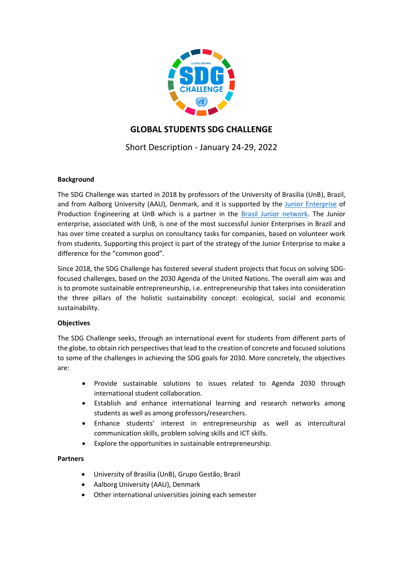

# **GLOBAL STUDENTS SDG CHALLENGE**

Short Description - January 24-29, 2022

## **Background**

The SDG Challenge was started in 2018 by professors of the University of Brasilia (UnB), Brazil, and from Aalborg University (AAU), Denmark, and it is supported by the [Junior Enterprise](https://www.grupogestao.co/) of Production Engineering at UnB which is a partner in the [Brasil Junior network.](https://brasiljunior.org.br/) The Junior enterprise, associated with UnB, is one of the most successful Junior Enterprises in Brazil and has over time created a surplus on consultancy tasks for companies, based on volunteer work from students. Supporting this project is part of the strategy of the Junior Enterprise to make a difference for the "common good".

Since 2018, the SDG Challenge has fostered several student projects that focus on solving SDGfocused challenges, based on the 2030 Agenda of the United Nations. The overall aim was and is to promote sustainable entrepreneurship, i.e. entrepreneurship that takes into consideration the three pillars of the holistic sustainability concept: ecological, social and economic sustainability.

## **Objectives**

The SDG Challenge seeks, through an international event for students from different parts of the globe, to obtain rich perspectives that lead to the creation of concrete and focused solutions to some of the challenges in achieving the SDG goals for 2030. More concretely, the objectives are:

- Provide sustainable solutions to issues related to Agenda 2030 through international student collaboration.
- Establish and enhance international learning and research networks among students as well as among professors/researchers.
- Enhance students' interest in entrepreneurship as well as intercultural communication skills, problem solving skills and ICT skills.
- Explore the opportunities in sustainable entrepreneurship.

## **Partners**

- University of Brasilia (UnB), Grupo Gestão, Brazil
- Aalborg University (AAU), Denmark
- Other international universities joining each semester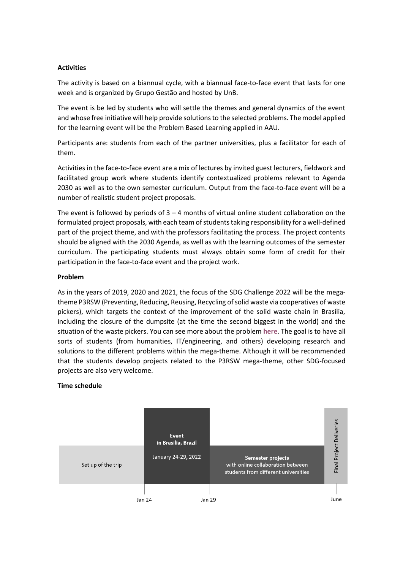#### **Activities**

The activity is based on a biannual cycle, with a biannual face-to-face event that lasts for one week and is organized by Grupo Gestão and hosted by UnB.

The event is be led by students who will settle the themes and general dynamics of the event and whose free initiative will help provide solutions to the selected problems. The model applied for the learning event will be the Problem Based Learning applied in AAU.

Participants are: students from each of the partner universities, plus a facilitator for each of them.

Activities in the face-to-face event are a mix of lectures by invited guest lecturers, fieldwork and facilitated group work where students identify contextualized problems relevant to Agenda 2030 as well as to the own semester curriculum. Output from the face-to-face event will be a number of realistic student project proposals.

The event is followed by periods of  $3 - 4$  months of virtual online student collaboration on the formulated project proposals, with each team of students taking responsibility for a well-defined part of the project theme, and with the professors facilitating the process. The project contents should be aligned with the 2030 Agenda, as well as with the learning outcomes of the semester curriculum. The participating students must always obtain some form of credit for their participation in the face-to-face event and the project work.

#### **Problem**

As in the years of 2019, 2020 and 2021, the focus of the SDG Challenge 2022 will be the megatheme P3RSW (Preventing, Reducing, Reusing, Recycling of solid waste via cooperatives of waste pickers), which targets the context of the improvement of the solid waste chain in Brasília, including the closure of the dumpsite (at the time the second biggest in the world) and the situation of the waste pickers. You can see more about the problem **[here](https://www.sdgchallenge.com.br/megatheme-p3rsw-waste)**. The goal is to have all sorts of students (from humanities, IT/engineering, and others) developing research and solutions to the different problems within the mega-theme. Although it will be recommended that the students develop projects related to the P3RSW mega-theme, other SDG-focused projects are also very welcome.

#### **Time schedule**